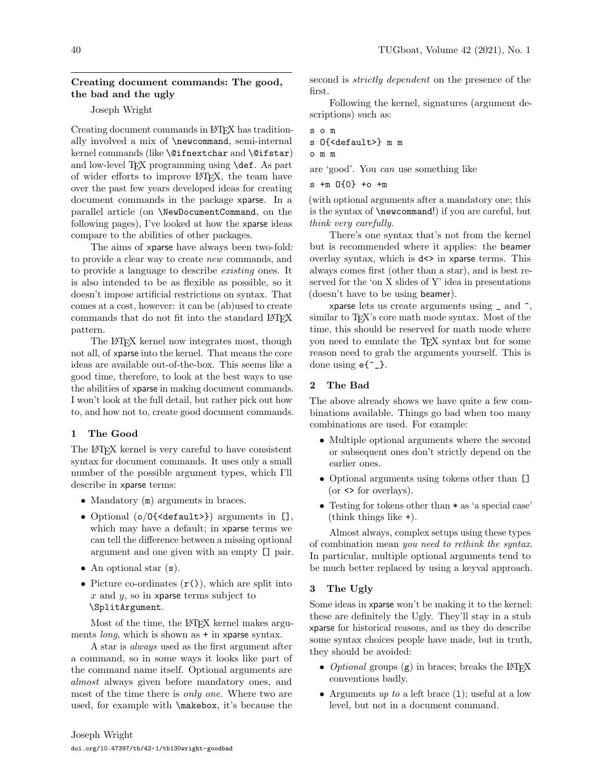## Creating document commands: The good, the bad and the ugly

## Joseph Wright

Creating document commands in LATEX has traditionally involved a mix of \newcommand, semi-internal kernel commands (like \@ifnextchar and \@ifstar) and low-level T<sub>F</sub>X programming using **\def.** As part of wider efforts to improve LATEX, the team have over the past few years developed ideas for creating document commands in the package xparse. In a parallel article (on \NewDocumentCommand, on the following pages), I've looked at how the xparse ideas compare to the abilities of other packages.

The aims of xparse have always been two-fold: to provide a clear way to create new commands, and to provide a language to describe existing ones. It is also intended to be as flexible as possible, so it doesn't impose artificial restrictions on syntax. That comes at a cost, however: it can be (ab)used to create commands that do not fit into the standard LAT<sub>EX</sub> pattern.

The LATEX kernel now integrates most, though not all, of xparse into the kernel. That means the core ideas are available out-of-the-box. This seems like a good time, therefore, to look at the best ways to use the abilities of xparse in making document commands. I won't look at the full detail, but rather pick out how to, and how not to, create good document commands.

### 1 The Good

The L<sup>AT</sup>EX kernel is very careful to have consistent syntax for document commands. It uses only a small number of the possible argument types, which I'll describe in xparse terms:

- Mandatory (m) arguments in braces.
- Optional (o/O{<default>}) arguments in [], which may have a default; in xparse terms we can tell the difference between a missing optional argument and one given with an empty [] pair.
- An optional star  $(s)$ .
- Picture co-ordinates  $(r())$ , which are split into  $x$  and  $y$ , so in xparse terms subject to \SplitArgument.

Most of the time, the L<sup>AT</sup>EX kernel makes arguments *long*, which is shown as  $+$  in xparse syntax.

A star is always used as the first argument after a command, so in some ways it looks like part of the command name itself. Optional arguments are almost always given before mandatory ones, and most of the time there is *only one*. Where two are used, for example with \makebox, it's because the second is *strictly dependent* on the presence of the first.

Following the kernel, signatures (argument descriptions) such as:

s o m s O{<default>} m m

#### o m m

are 'good'. You can use something like

s +m O{0} +o +m

(with optional arguments after a mandatory one; this is the syntax of \newcommand!) if you are careful, but think very carefully.

There's one syntax that's not from the kernel but is recommended where it applies: the beamer overlay syntax, which is  $d \leq \infty$  in xparse terms. This always comes first (other than a star), and is best reserved for the 'on X slides of Y' idea in presentations (doesn't have to be using beamer).

xparse lets us create arguments using  $\Box$  and  $\hat{\ }$ , similar to T<sub>F</sub>X's core math mode syntax. Most of the time, this should be reserved for math mode where you need to emulate the TEX syntax but for some reason need to grab the arguments yourself. This is done using  $e^{-1}$ .

## 2 The Bad

The above already shows we have quite a few combinations available. Things go bad when too many combinations are used. For example:

- Multiple optional arguments where the second or subsequent ones don't strictly depend on the earlier ones.
- Optional arguments using tokens other than []  $($ or  $\leq$  for overlays $).$
- Testing for tokens other than \* as 'a special case' (think things like +).

Almost always, complex setups using these types of combination mean you need to rethink the syntax. In particular, multiple optional arguments tend to be much better replaced by using a keyval approach.

### 3 The Ugly

Some ideas in xparse won't be making it to the kernel: these are definitely the Ugly. They'll stay in a stub xparse for historical reasons, and as they do describe some syntax choices people have made, but in truth, they should be avoided:

- Optional groups  $(g)$  in braces; breaks the LATEX conventions badly.
- Arguments up to a left brace  $(1)$ ; useful at a low level, but not in a document command.